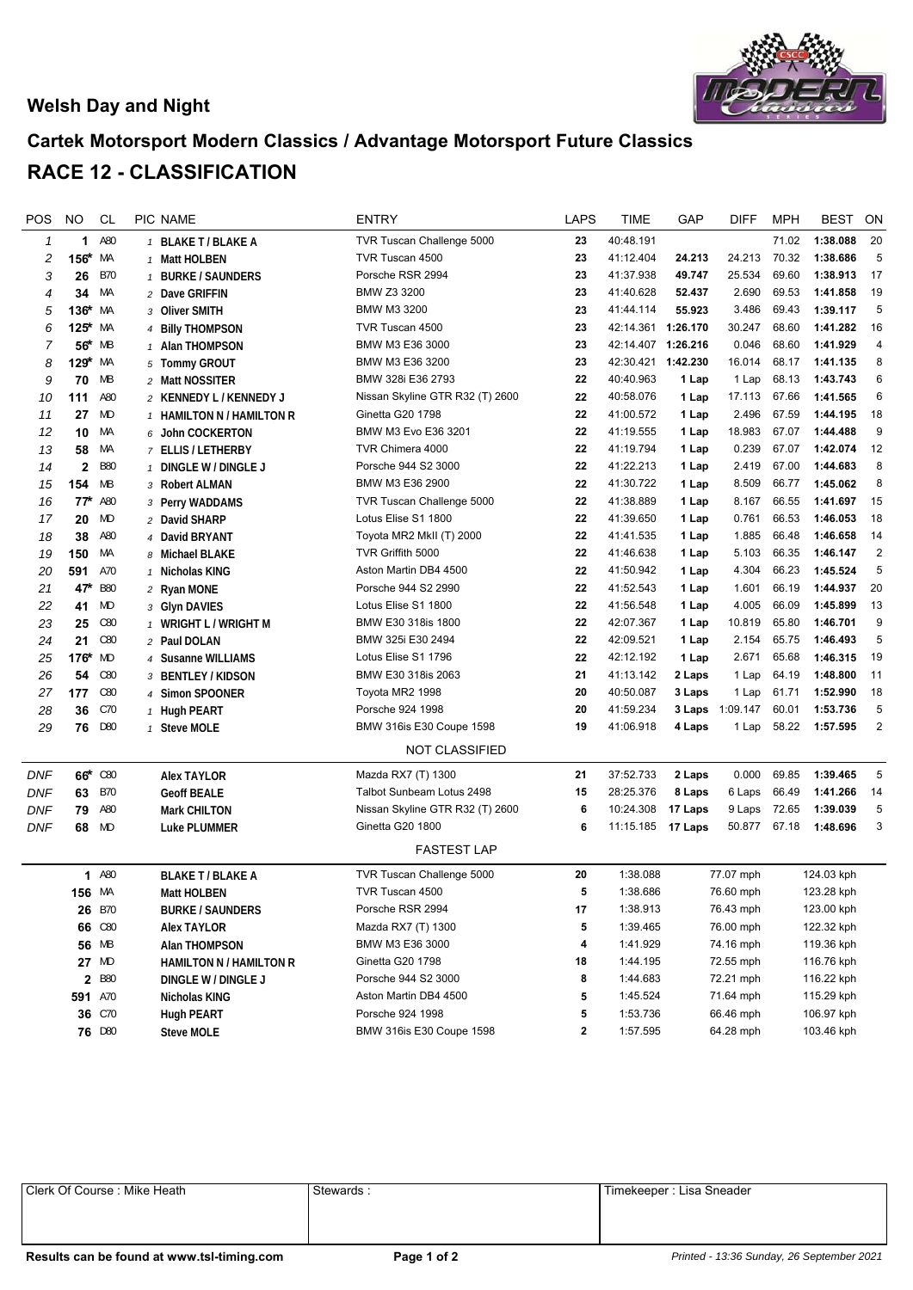## **Welsh Day and Night**



## **Cartek Motorsport Modern Classics / Advantage Motorsport Future Classics RACE 12 - CLASSIFICATION**

| POS        | NO                  | <b>CL</b>  | PIC NAME                       | <b>ENTRY</b>                    | <b>LAPS</b>  | TIME               | GAP       | <b>DIFF</b> | <b>MPH</b>                             | BEST       | ON             |
|------------|---------------------|------------|--------------------------------|---------------------------------|--------------|--------------------|-----------|-------------|----------------------------------------|------------|----------------|
| 1          | 1                   | A80        | 1 BLAKE T / BLAKE A            | TVR Tuscan Challenge 5000       | 23           | 40:48.191          |           |             | 71.02                                  | 1:38.088   | 20             |
| 2          | 156*                | МA         | 1 Matt HOLBEN                  | TVR Tuscan 4500                 | 23           | 41:12.404          | 24.213    | 24.213      | 70.32                                  | 1:38.686   | $\overline{5}$ |
| 3          | 26                  | <b>B70</b> | 1 BURKE / SAUNDERS             | Porsche RSR 2994                | 23           | 41:37.938          | 49.747    | 25.534      | 69.60                                  | 1:38.913   | 17             |
| 4          | 34                  | МA         | 2 Dave GRIFFIN                 | BMW Z3 3200                     | 23           | 41:40.628          | 52.437    | 2.690       | 69.53                                  | 1:41.858   | 19             |
| 5          | $136*$              | МA         | 3 Oliver SMITH                 | BMW M3 3200                     | 23           | 41:44.114          | 55.923    | 3.486       | 69.43                                  | 1:39.117   | 5              |
| 6          | $125$ *             | МA         | 4 Billy THOMPSON               | TVR Tuscan 4500                 | 23           | 42:14.361 1:26.170 |           | 30.247      | 68.60                                  | 1:41.282   | 16             |
| 7          | 56*                 | МB         | 1 Alan THOMPSON                | BMW M3 E36 3000                 | 23           | 42:14.407 1:26.216 |           | 0.046       | 68.60                                  | 1:41.929   | 4              |
| 8          | 129 <sup>*</sup> MA |            | 5 Tommy GROUT                  | BMW M3 E36 3200                 | 23           | 42:30.421 1:42.230 |           | 16.014      | 68.17                                  | 1:41.135   | 8              |
| 9          | 70                  | MB         | 2 Matt NOSSITER                | BMW 328i E36 2793               | 22           | 40:40.963          | 1 Lap     | 1 Lap       | 68.13                                  | 1:43.743   | 6              |
| 10         | 111                 | A80        | 2 KENNEDY L / KENNEDY J        | Nissan Skyline GTR R32 (T) 2600 | 22           | 40:58.076          | 1 Lap     | 17.113      | 67.66                                  | 1:41.565   | 6              |
| 11         | 27                  | MD         | 1 HAMILTON N / HAMILTON R      | Ginetta G20 1798                | 22           | 41:00.572          | 1 Lap     | 2.496       | 67.59                                  | 1:44.195   | 18             |
| 12         | 10                  | МA         | 6 John COCKERTON               | BMW M3 Evo E36 3201             | 22           | 41:19.555          | 1 Lap     | 18.983      | 67.07                                  | 1:44.488   | 9              |
| 13         | 58                  | МA         | 7 ELLIS / LETHERBY             | TVR Chimera 4000                | 22           | 41:19.794          | 1 Lap     | 0.239       | 67.07                                  | 1:42.074   | 12             |
| 14         | $\mathbf{2}$        | <b>B80</b> | 1 DINGLE W / DINGLE J          | Porsche 944 S2 3000             | 22           | 41:22.213          | 1 Lap     | 2.419       | 67.00                                  | 1:44.683   | 8              |
| 15         | 154                 | МB         | 3 Robert ALMAN                 | BMW M3 E36 2900                 | 22           | 41:30.722          | 1 Lap     | 8.509       | 66.77                                  | 1:45.062   | 8              |
| 16         | $77^*$              | A80        | 3 Perry WADDAMS                | TVR Tuscan Challenge 5000       | 22           | 41:38.889          | 1 Lap     | 8.167       | 66.55                                  | 1:41.697   | 15             |
| 17         | 20                  | MD         | 2 David SHARP                  | Lotus Elise S1 1800             | 22           | 41:39.650          | 1 Lap     | 0.761       | 66.53                                  | 1:46.053   | 18             |
| 18         | 38                  | A80        | 4 David BRYANT                 | Toyota MR2 MkII (T) 2000        | 22           | 41:41.535          | 1 Lap     | 1.885       | 66.48                                  | 1:46.658   | 14             |
| 19         | 150                 | МA         | 8 Michael BLAKE                | TVR Griffith 5000               | 22           | 41:46.638          | 1 Lap     | 5.103       | 66.35                                  | 1:46.147   | $\overline{2}$ |
| 20         | 591                 | A70        | 1 Nicholas KING                | Aston Martin DB4 4500           | 22           | 41:50.942          | 1 Lap     | 4.304       | 66.23                                  | 1:45.524   | 5              |
| 21         | 47 <sup>k</sup>     | <b>B80</b> | 2 Ryan MONE                    | Porsche 944 S2 2990             | 22           | 41:52.543          | 1 Lap     | 1.601       | 66.19                                  | 1:44.937   | 20             |
| 22         | 41                  | MD         | 3 Glyn DAVIES                  | Lotus Elise S1 1800             | 22           | 41:56.548          | 1 Lap     | 4.005       | 66.09                                  | 1:45.899   | 13             |
| 23         | 25                  | C80        | 1 WRIGHT L / WRIGHT M          | BMW E30 318is 1800              | 22           | 42:07.367          | 1 Lap     | 10.819      | 65.80                                  | 1:46.701   | 9              |
| 24         | 21                  | C80        | 2 Paul DOLAN                   | BMW 325i E30 2494               | 22           | 42:09.521          | 1 Lap     | 2.154       | 65.75                                  | 1:46.493   | 5              |
| 25         | 176*                | MD         | 4 Susanne WILLIAMS             | Lotus Elise S1 1796             | 22           | 42:12.192          | 1 Lap     | 2.671       | 65.68                                  | 1:46.315   | 19             |
| 26         | 54                  | C80        | 3 BENTLEY / KIDSON             | BMW E30 318is 2063              | 21           | 41:13.142          | 2 Laps    | 1 Lap       | 64.19                                  | 1:48.800   | 11             |
| 27         | 177                 | C80        | 4 Simon SPOONER                | Toyota MR2 1998                 | 20           | 40:50.087          | 3 Laps    | 1 Lap       | 61.71                                  | 1:52.990   | 18             |
| 28         | 36                  | C70        | 1 Hugh PEART                   | Porsche 924 1998                | 20           | 41:59.234          | 3 Laps    | 1:09.147    | 60.01                                  | 1:53.736   | 5              |
| 29         | 76                  | D80        | 1 Steve MOLE                   | BMW 316is E30 Coupe 1598        | 19           | 41:06.918          | 4 Laps    | 1 Lap       | 58.22                                  | 1:57.595   | $\overline{c}$ |
|            |                     |            |                                | <b>NOT CLASSIFIED</b>           |              |                    |           |             |                                        |            |                |
| <b>DNF</b> |                     | 66* C80    | <b>Alex TAYLOR</b>             | Mazda RX7 (T) 1300              | 21           | 37:52.733          | 2 Laps    | 0.000       | 69.85                                  | 1:39.465   | 5              |
| DNF        | 63                  | <b>B70</b> | <b>Geoff BEALE</b>             | Talbot Sunbeam Lotus 2498       | 15           | 28:25.376          | 8 Laps    | 6 Laps      | 66.49                                  | 1:41.266   | 14             |
| DNF        | 79                  | A80        | <b>Mark CHILTON</b>            | Nissan Skyline GTR R32 (T) 2600 | 6            | 10:24.308          | 17 Laps   | 9 Laps      | 72.65                                  | 1:39.039   | 5              |
| DNF        | 68                  | MD         | Luke PLUMMER                   | Ginetta G20 1800                | 6            | 11:15.185 17 Laps  |           | 50.877      | 67.18                                  | 1:48.696   | 3              |
|            |                     |            |                                | <b>FASTEST LAP</b>              |              |                    |           |             |                                        |            |                |
|            | 1                   | A80        | <b>BLAKE T / BLAKE A</b>       | TVR Tuscan Challenge 5000       | 20           | 1:38.088           |           | 77.07 mph   |                                        | 124.03 kph |                |
|            | 156 MA              |            | Matt HOLBEN                    | TVR Tuscan 4500                 | 5            | 1:38.686           |           | 76.60 mph   | 123.28 kph<br>123.00 kph<br>122.32 kph |            |                |
|            |                     | 26 B70     | <b>BURKE / SAUNDERS</b>        | Porsche RSR 2994                | 17           | 1:38.913           |           | 76.43 mph   |                                        |            |                |
|            |                     | 66 C80     | Alex TAYLOR                    | Mazda RX7 (T) 1300              | 5            | 1:39.465           |           | 76.00 mph   |                                        |            |                |
|            |                     | 56 MB      | Alan THOMPSON                  | BMW M3 E36 3000                 | 4            | 1:41.929           |           | 74.16 mph   | 119.36 kph                             |            |                |
|            |                     | 27 MD      | <b>HAMILTON N / HAMILTON R</b> | Ginetta G20 1798                | 18           | 1:44.195           | 72.55 mph |             | 116.76 kph                             |            |                |
|            |                     | 2 B80      | DINGLE W / DINGLE J            | Porsche 944 S2 3000             | 8            | 1:44.683           |           | 72.21 mph   |                                        | 116.22 kph |                |
|            | 591 A70             |            | Nicholas KING                  | Aston Martin DB4 4500           | 5            | 1:45.524           |           | 71.64 mph   |                                        | 115.29 kph |                |
|            |                     | 36 C70     | <b>Hugh PEART</b>              | Porsche 924 1998                | 5            | 1:53.736           |           | 66.46 mph   |                                        | 106.97 kph |                |
|            |                     | 76 D80     | <b>Steve MOLE</b>              | BMW 316is E30 Coupe 1598        | $\mathbf{2}$ | 1:57.595           |           | 64.28 mph   |                                        | 103.46 kph |                |